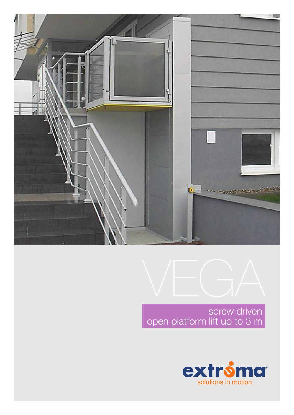



screw driven open platform lift up to 3 m

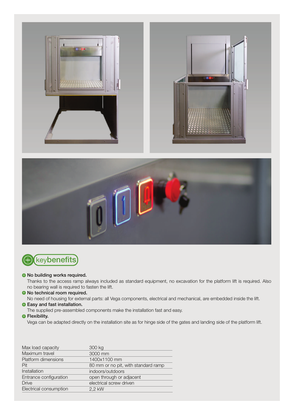



# **(+)** keybenefits

#### **• No building works required.**

Thanks to the access ramp always included as standard equipment, no excavation for the platform lift is required. Also no bearing wall is required to fasten the lift.

## **• No technical room required.**

No need of housing for external parts: all Vega components, electrical and mechanical, are embedded inside the lift.

## **B** Easy and fast installation.

The supplied pre-assembled components make the installation fast and easy.

#### **•** Flexibility.

Vega can be adapted directly on the installation site as for hinge side of the gates and landing side of the platform lift.

| Max load capacity      | 300 kg                              |
|------------------------|-------------------------------------|
| Maximum travel         | 3000 mm                             |
| Platform dimensions    | 1400x1100 mm                        |
| Pit                    | 80 mm or no pit, with standard ramp |
| Installation           | indoors/outdoors                    |
| Entrance configuration | open through or adjacent            |
| <b>Drive</b>           | electrical screw driven             |
| Electrical consumption | 2.2 kW                              |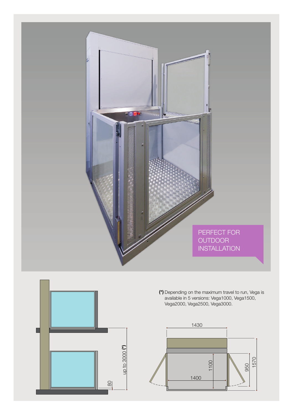



(\*) Depending on the maximum travel to run, Vega is available in 5 versions: Vega1000, Vega1500, Vega2000, Vega2500, Vega3000.